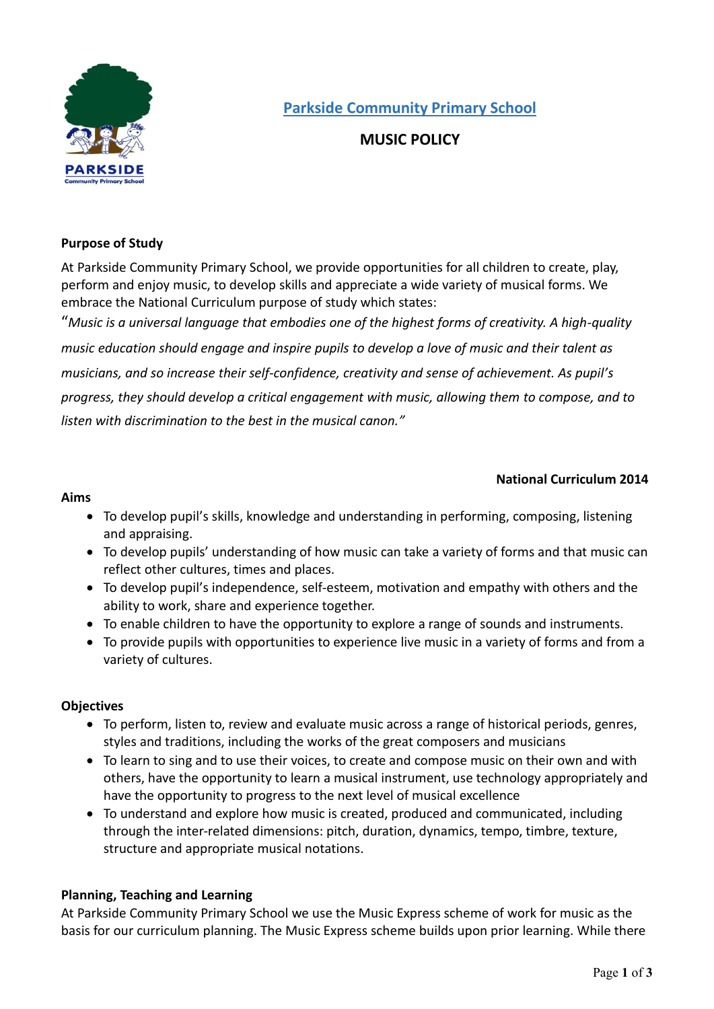

**Parkside Community Primary School** 

# **MUSIC POLICY**

#### **Purpose of Study**

At Parkside Community Primary School, we provide opportunities for all children to create, play, perform and enjoy music, to develop skills and appreciate a wide variety of musical forms. We embrace the National Curriculum purpose of study which states:

"*Music is a universal language that embodies one of the highest forms of creativity. A high-quality music education should engage and inspire pupils to develop a love of music and their talent as musicians, and so increase their self-confidence, creativity and sense of achievement. As pupil's progress, they should develop a critical engagement with music, allowing them to compose, and to listen with discrimination to the best in the musical canon."*

## **National Curriculum 2014**

#### **Aims**

- To develop pupil's skills, knowledge and understanding in performing, composing, listening and appraising.
- To develop pupils' understanding of how music can take a variety of forms and that music can reflect other cultures, times and places.
- To develop pupil's independence, self-esteem, motivation and empathy with others and the ability to work, share and experience together.
- To enable children to have the opportunity to explore a range of sounds and instruments.
- To provide pupils with opportunities to experience live music in a variety of forms and from a variety of cultures.

#### **Objectives**

- To perform, listen to, review and evaluate music across a range of historical periods, genres, styles and traditions, including the works of the great composers and musicians
- To learn to sing and to use their voices, to create and compose music on their own and with others, have the opportunity to learn a musical instrument, use technology appropriately and have the opportunity to progress to the next level of musical excellence
- To understand and explore how music is created, produced and communicated, including through the inter-related dimensions: pitch, duration, dynamics, tempo, timbre, texture, structure and appropriate musical notations.

### **Planning, Teaching and Learning**

At Parkside Community Primary School we use the Music Express scheme of work for music as the basis for our curriculum planning. The Music Express scheme builds upon prior learning. While there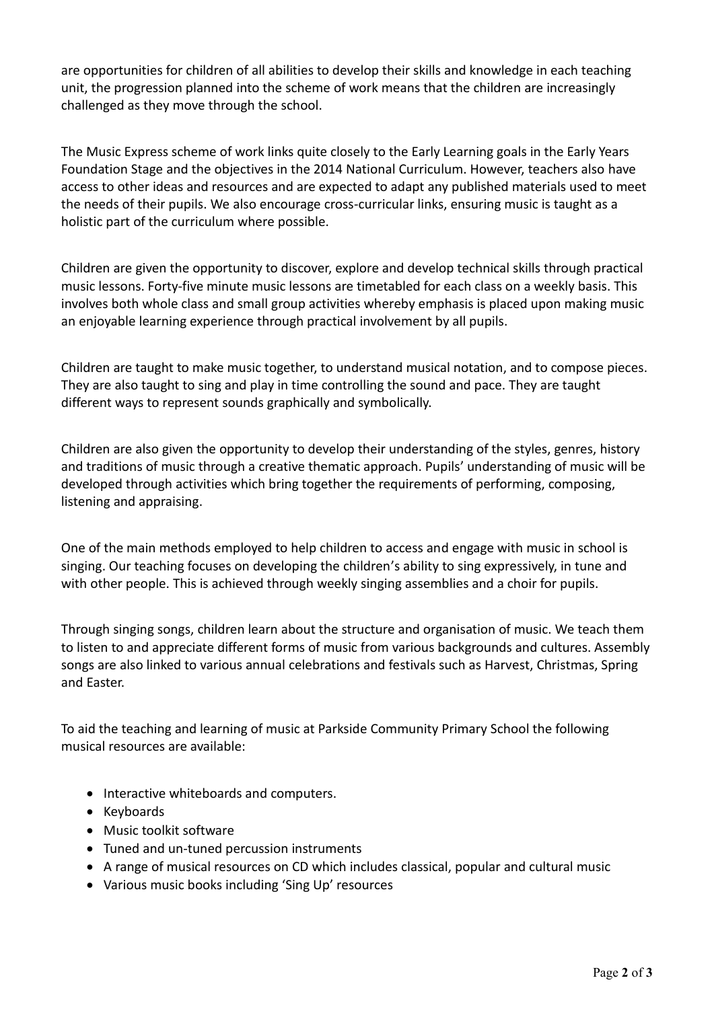are opportunities for children of all abilities to develop their skills and knowledge in each teaching unit, the progression planned into the scheme of work means that the children are increasingly challenged as they move through the school.

The Music Express scheme of work links quite closely to the Early Learning goals in the Early Years Foundation Stage and the objectives in the 2014 National Curriculum. However, teachers also have access to other ideas and resources and are expected to adapt any published materials used to meet the needs of their pupils. We also encourage cross-curricular links, ensuring music is taught as a holistic part of the curriculum where possible.

Children are given the opportunity to discover, explore and develop technical skills through practical music lessons. Forty-five minute music lessons are timetabled for each class on a weekly basis. This involves both whole class and small group activities whereby emphasis is placed upon making music an enjoyable learning experience through practical involvement by all pupils.

Children are taught to make music together, to understand musical notation, and to compose pieces. They are also taught to sing and play in time controlling the sound and pace. They are taught different ways to represent sounds graphically and symbolically.

Children are also given the opportunity to develop their understanding of the styles, genres, history and traditions of music through a creative thematic approach. Pupils' understanding of music will be developed through activities which bring together the requirements of performing, composing, listening and appraising.

One of the main methods employed to help children to access and engage with music in school is singing. Our teaching focuses on developing the children's ability to sing expressively, in tune and with other people. This is achieved through weekly singing assemblies and a choir for pupils.

Through singing songs, children learn about the structure and organisation of music. We teach them to listen to and appreciate different forms of music from various backgrounds and cultures. Assembly songs are also linked to various annual celebrations and festivals such as Harvest, Christmas, Spring and Easter.

To aid the teaching and learning of music at Parkside Community Primary School the following musical resources are available:

- Interactive whiteboards and computers.
- Keyboards
- Music toolkit software
- Tuned and un-tuned percussion instruments
- A range of musical resources on CD which includes classical, popular and cultural music
- Various music books including 'Sing Up' resources